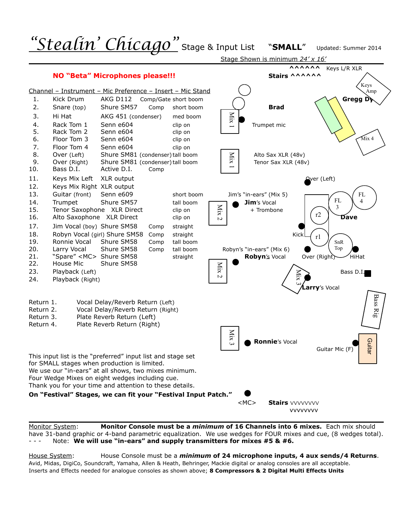

Monitor System: **Monitor Console must be a** *minimum* **of 16 Channels into 6 mixes.** Each mix should have 31-band graphic or 4-band parametric equalization. We use wedges for FOUR mixes and cue, (8 wedges total). Note: We will use "in-ears" and supply transmitters for mixes #5 & #6.

House System: House Console must be a *minimum* **of 24 microphone inputs, 4 aux sends/4 Returns**. Avid, Midas, DigiCo, Soundcraft, Yamaha, Allen & Heath, Behringer, Mackie digital or analog consoles are all acceptable.